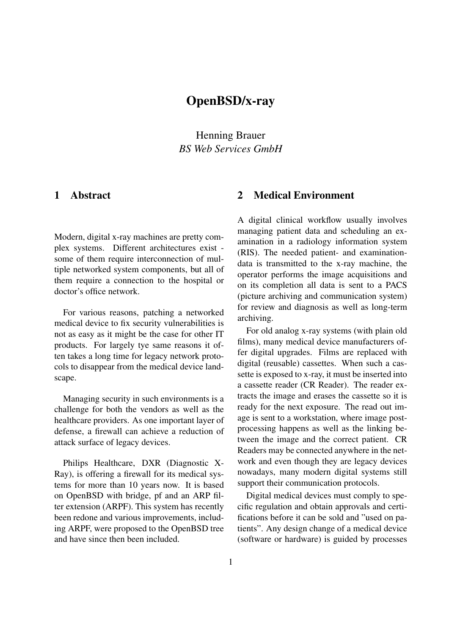# OpenBSD/x-ray

Henning Brauer *BS Web Services GmbH*

#### 1 Abstract

Modern, digital x-ray machines are pretty complex systems. Different architectures exist some of them require interconnection of multiple networked system components, but all of them require a connection to the hospital or doctor's office network.

For various reasons, patching a networked medical device to fix security vulnerabilities is not as easy as it might be the case for other IT products. For largely tye same reasons it often takes a long time for legacy network protocols to disappear from the medical device landscape.

Managing security in such environments is a challenge for both the vendors as well as the healthcare providers. As one important layer of defense, a firewall can achieve a reduction of attack surface of legacy devices.

Philips Healthcare, DXR (Diagnostic X-Ray), is offering a firewall for its medical systems for more than 10 years now. It is based on OpenBSD with bridge, pf and an ARP filter extension (ARPF). This system has recently been redone and various improvements, including ARPF, were proposed to the OpenBSD tree and have since then been included.

#### 2 Medical Environment

A digital clinical workflow usually involves managing patient data and scheduling an examination in a radiology information system (RIS). The needed patient- and examinationdata is transmitted to the x-ray machine, the operator performs the image acquisitions and on its completion all data is sent to a PACS (picture archiving and communication system) for review and diagnosis as well as long-term archiving.

For old analog x-ray systems (with plain old films), many medical device manufacturers offer digital upgrades. Films are replaced with digital (reusable) cassettes. When such a cassette is exposed to x-ray, it must be inserted into a cassette reader (CR Reader). The reader extracts the image and erases the cassette so it is ready for the next exposure. The read out image is sent to a workstation, where image postprocessing happens as well as the linking between the image and the correct patient. CR Readers may be connected anywhere in the network and even though they are legacy devices nowadays, many modern digital systems still support their communication protocols.

Digital medical devices must comply to specific regulation and obtain approvals and certifications before it can be sold and "used on patients". Any design change of a medical device (software or hardware) is guided by processes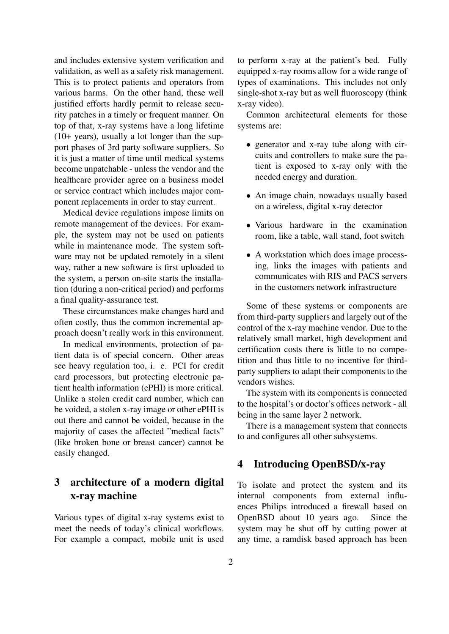and includes extensive system verification and validation, as well as a safety risk management. This is to protect patients and operators from various harms. On the other hand, these well justified efforts hardly permit to release security patches in a timely or frequent manner. On top of that, x-ray systems have a long lifetime (10+ years), usually a lot longer than the support phases of 3rd party software suppliers. So it is just a matter of time until medical systems become unpatchable - unless the vendor and the healthcare provider agree on a business model or service contract which includes major component replacements in order to stay current.

Medical device regulations impose limits on remote management of the devices. For example, the system may not be used on patients while in maintenance mode. The system software may not be updated remotely in a silent way, rather a new software is first uploaded to the system, a person on-site starts the installation (during a non-critical period) and performs a final quality-assurance test.

These circumstances make changes hard and often costly, thus the common incremental approach doesn't really work in this environment.

In medical environments, protection of patient data is of special concern. Other areas see heavy regulation too, i. e. PCI for credit card processors, but protecting electronic patient health information (ePHI) is more critical. Unlike a stolen credit card number, which can be voided, a stolen x-ray image or other ePHI is out there and cannot be voided, because in the majority of cases the affected "medical facts" (like broken bone or breast cancer) cannot be easily changed.

## 3 architecture of a modern digital x-ray machine

Various types of digital x-ray systems exist to meet the needs of today's clinical workflows. For example a compact, mobile unit is used

to perform x-ray at the patient's bed. Fully equipped x-ray rooms allow for a wide range of types of examinations. This includes not only single-shot x-ray but as well fluoroscopy (think x-ray video).

Common architectural elements for those systems are:

- generator and x-ray tube along with circuits and controllers to make sure the patient is exposed to x-ray only with the needed energy and duration.
- An image chain, nowadays usually based on a wireless, digital x-ray detector
- Various hardware in the examination room, like a table, wall stand, foot switch
- A workstation which does image processing, links the images with patients and communicates with RIS and PACS servers in the customers network infrastructure

Some of these systems or components are from third-party suppliers and largely out of the control of the x-ray machine vendor. Due to the relatively small market, high development and certification costs there is little to no competition and thus little to no incentive for thirdparty suppliers to adapt their components to the vendors wishes.

The system with its components is connected to the hospital's or doctor's offices network - all being in the same layer 2 network.

There is a management system that connects to and configures all other subsystems.

#### 4 Introducing OpenBSD/x-ray

To isolate and protect the system and its internal components from external influences Philips introduced a firewall based on OpenBSD about 10 years ago. Since the system may be shut off by cutting power at any time, a ramdisk based approach has been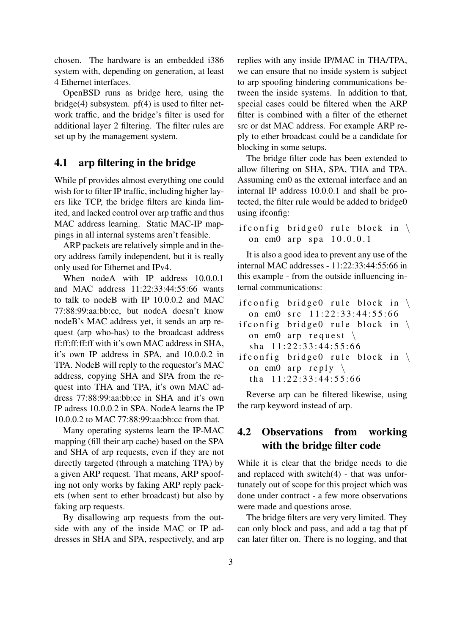chosen. The hardware is an embedded i386 system with, depending on generation, at least 4 Ethernet interfaces.

OpenBSD runs as bridge here, using the  $bridge(4)$  subsystem.  $pf(4)$  is used to filter network traffic, and the bridge's filter is used for additional layer 2 filtering. The filter rules are set up by the management system.

#### 4.1 arp filtering in the bridge

While pf provides almost everything one could wish for to filter IP traffic, including higher layers like TCP, the bridge filters are kinda limited, and lacked control over arp traffic and thus MAC address learning. Static MAC-IP mappings in all internal systems aren't feasible.

ARP packets are relatively simple and in theory address family independent, but it is really only used for Ethernet and IPv4.

When nodeA with IP address 10.0.0.1 and MAC address 11:22:33:44:55:66 wants to talk to nodeB with IP 10.0.0.2 and MAC 77:88:99:aa:bb:cc, but nodeA doesn't know nodeB's MAC address yet, it sends an arp request (arp who-has) to the broadcast address ff:ff:ff:ff:ff with it's own MAC address in SHA, it's own IP address in SPA, and 10.0.0.2 in TPA. NodeB will reply to the requestor's MAC address, copying SHA and SPA from the request into THA and TPA, it's own MAC address 77:88:99:aa:bb:cc in SHA and it's own IP adress 10.0.0.2 in SPA. NodeA learns the IP 10.0.0.2 to MAC 77:88:99:aa:bb:cc from that.

Many operating systems learn the IP-MAC mapping (fill their arp cache) based on the SPA and SHA of arp requests, even if they are not directly targeted (through a matching TPA) by a given ARP request. That means, ARP spoofing not only works by faking ARP reply packets (when sent to ether broadcast) but also by faking arp requests.

By disallowing arp requests from the outside with any of the inside MAC or IP addresses in SHA and SPA, respectively, and arp

replies with any inside IP/MAC in THA/TPA, we can ensure that no inside system is subject to arp spoofing hindering communications between the inside systems. In addition to that, special cases could be filtered when the ARP filter is combined with a filter of the ethernet src or dst MAC address. For example ARP reply to ether broadcast could be a candidate for blocking in some setups.

The bridge filter code has been extended to allow filtering on SHA, SPA, THA and TPA. Assuming em0 as the external interface and an internal IP address 10.0.0.1 and shall be protected, the filter rule would be added to bridge0 using ifconfig:

if config bridge 0 rule block in  $\setminus$ on em0 arp spa 10.0.0.1

It is also a good idea to prevent any use of the internal MAC addresses - 11:22:33:44:55:66 in this example - from the outside influencing internal communications:

| if config bridge 0 rule block in $\setminus$ |  |
|----------------------------------------------|--|
| on em0 src 11:22:33:44:55:66                 |  |
| ifconfig bridge0 rule block in $\setminus$   |  |
| on em $0$ arp request $\setminus$            |  |
| sha $11:22:33:44:55:66$                      |  |
| if config bridge 0 rule block in $\setminus$ |  |
| on em $0$ arp reply $\setminus$              |  |
| tha $11:22:33:44:55:66$                      |  |

Reverse arp can be filtered likewise, using the rarp keyword instead of arp.

### 4.2 Observations from working with the bridge filter code

While it is clear that the bridge needs to die and replaced with switch(4) - that was unfortunately out of scope for this project which was done under contract - a few more observations were made and questions arose.

The bridge filters are very very limited. They can only block and pass, and add a tag that pf can later filter on. There is no logging, and that